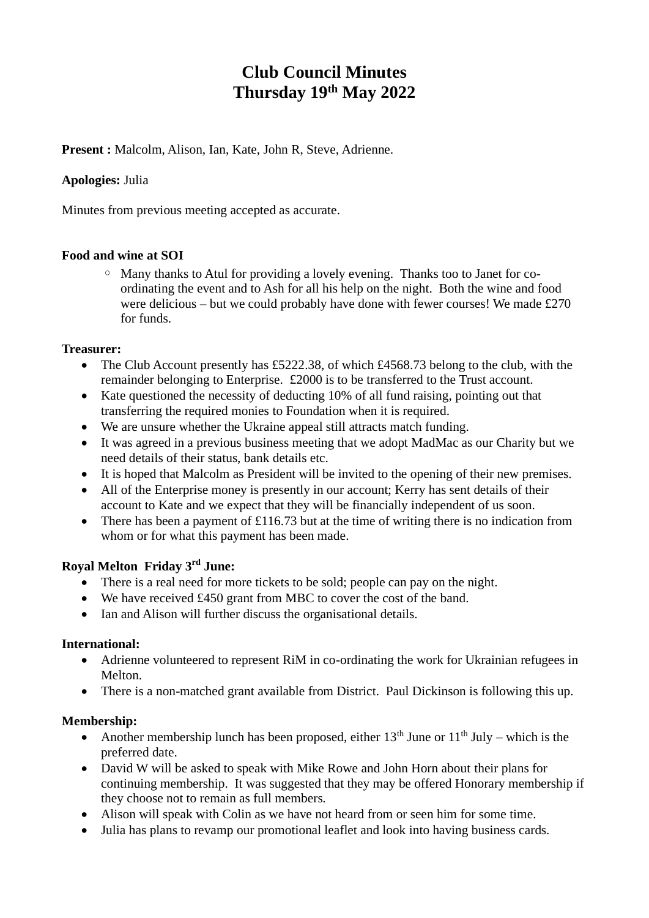# **Club Council Minutes Thursday 19th May 2022**

**Present :** Malcolm, Alison, Ian, Kate, John R, Steve, Adrienne.

## **Apologies:** Julia

Minutes from previous meeting accepted as accurate.

## **Food and wine at SOI**

◦ Many thanks to Atul for providing a lovely evening. Thanks too to Janet for coordinating the event and to Ash for all his help on the night. Both the wine and food were delicious – but we could probably have done with fewer courses! We made £270 for funds.

#### **Treasurer:**

- The Club Account presently has £5222.38, of which £4568.73 belong to the club, with the remainder belonging to Enterprise. £2000 is to be transferred to the Trust account.
- Kate questioned the necessity of deducting 10% of all fund raising, pointing out that transferring the required monies to Foundation when it is required.
- We are unsure whether the Ukraine appeal still attracts match funding.
- It was agreed in a previous business meeting that we adopt MadMac as our Charity but we need details of their status, bank details etc.
- It is hoped that Malcolm as President will be invited to the opening of their new premises.
- All of the Enterprise money is presently in our account; Kerry has sent details of their account to Kate and we expect that they will be financially independent of us soon.
- There has been a payment of £116.73 but at the time of writing there is no indication from whom or for what this payment has been made.

## **Royal Melton Friday 3rd June:**

- There is a real need for more tickets to be sold; people can pay on the night.
- We have received £450 grant from MBC to cover the cost of the band.
- Ian and Alison will further discuss the organisational details.

#### **International:**

- Adrienne volunteered to represent RiM in co-ordinating the work for Ukrainian refugees in Melton.
- There is a non-matched grant available from District. Paul Dickinson is following this up.

## **Membership:**

- Another membership lunch has been proposed, either  $13<sup>th</sup>$  June or  $11<sup>th</sup>$  July which is the preferred date.
- David W will be asked to speak with Mike Rowe and John Horn about their plans for continuing membership. It was suggested that they may be offered Honorary membership if they choose not to remain as full members.
- Alison will speak with Colin as we have not heard from or seen him for some time.
- Julia has plans to revamp our promotional leaflet and look into having business cards.